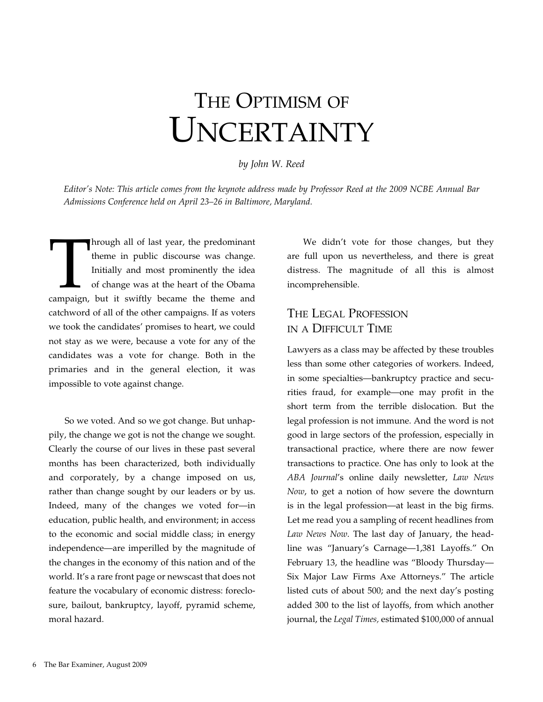# The Optimism of UNCERTAINTY

#### *by John W. Reed*

*Editor's Note: This article comes from the keynote address made by Professor Reed at the 2009 NCBE Annual Bar Admissions Conference held on April 23–26 in Baltimore, Maryland.*

Through all of last year, the predominant<br>theme in public discourse was change.<br>Initially and most prominently the idea<br>of change was at the heart of the Obama<br>campaign, but it swiftly became the theme and theme in public discourse was change. Initially and most prominently the idea of change was at the heart of the Obama catchword of all of the other campaigns. If as voters we took the candidates' promises to heart, we could not stay as we were, because a vote for any of the candidates was a vote for change. Both in the primaries and in the general election, it was impossible to vote against change.

So we voted. And so we got change. But unhappily, the change we got is not the change we sought. Clearly the course of our lives in these past several months has been characterized, both individually and corporately, by a change imposed on us, rather than change sought by our leaders or by us. Indeed, many of the changes we voted for—in education, public health, and environment; in access to the economic and social middle class; in energy independence—are imperilled by the magnitude of the changes in the economy of this nation and of the world. It's a rare front page or newscast that does not feature the vocabulary of economic distress: foreclosure, bailout, bankruptcy, layoff, pyramid scheme, moral hazard.

We didn't vote for those changes, but they are full upon us nevertheless, and there is great distress. The magnitude of all this is almost incomprehensible.

## The Legal Profession in a Difficult Time

Lawyers as a class may be affected by these troubles less than some other categories of workers. Indeed, in some specialties—bankruptcy practice and securities fraud, for example—one may profit in the short term from the terrible dislocation. But the legal profession is not immune. And the word is not good in large sectors of the profession, especially in transactional practice, where there are now fewer transactions to practice. One has only to look at the *ABA Journal*'s online daily newsletter, *Law News Now*, to get a notion of how severe the downturn is in the legal profession—at least in the big firms. Let me read you a sampling of recent headlines from *Law News Now*. The last day of January, the headline was "January's Carnage—1,381 Layoffs." On February 13, the headline was "Bloody Thursday— Six Major Law Firms Axe Attorneys." The article listed cuts of about 500; and the next day's posting added 300 to the list of layoffs, from which another journal, the *Legal Times,* estimated \$100,000 of annual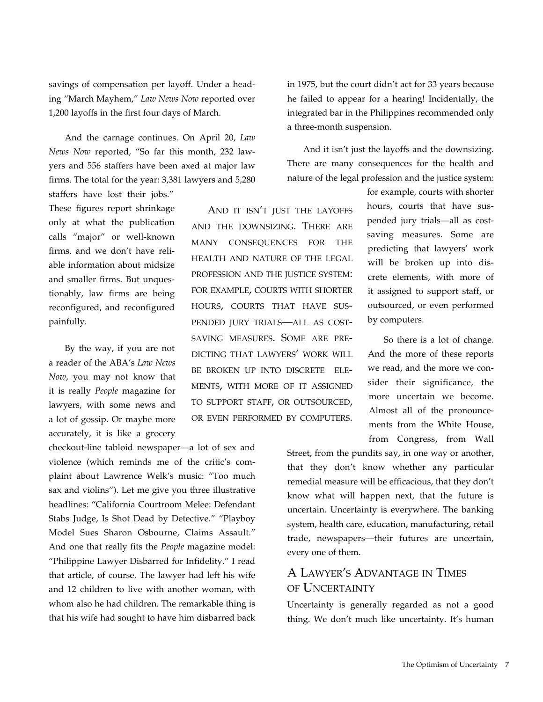savings of compensation per layoff. Under a heading "March Mayhem," *Law News Now* reported over 1,200 layoffs in the first four days of March.

And the carnage continues. On April 20, *Law News Now* reported, "So far this month, 232 lawyers and 556 staffers have been axed at major law firms. The total for the year: 3,381 lawyers and 5,280

staffers have lost their jobs." These figures report shrinkage only at what the publication calls "major" or well-known firms, and we don't have reliable information about midsize and smaller firms. But unquestionably, law firms are being reconfigured, and reconfigured painfully.

By the way, if you are not a reader of the ABA's *Law News Now*, you may not know that it is really *People* magazine for lawyers, with some news and a lot of gossip. Or maybe more accurately, it is like a grocery

checkout-line tabloid newspaper—a lot of sex and violence (which reminds me of the critic's complaint about Lawrence Welk's music: "Too much sax and violins"). Let me give you three illustrative headlines: "California Courtroom Melee: Defendant Stabs Judge, Is Shot Dead by Detective." "Playboy Model Sues Sharon Osbourne, Claims Assault." And one that really fits the *People* magazine model: "Philippine Lawyer Disbarred for Infidelity." I read that article, of course. The lawyer had left his wife and 12 children to live with another woman, with whom also he had children. The remarkable thing is that his wife had sought to have him disbarred back

in 1975, but the court didn't act for 33 years because he failed to appear for a hearing! Incidentally, the integrated bar in the Philippines recommended only a three-month suspension.

And it isn't just the layoffs and the downsizing. There are many consequences for the health and nature of the legal profession and the justice system:

AND IT ISN'T JUST THE LAYOFFS and the downsizing. There are MANY CONSEOUENCES FOR THE health and nature of the legal profession and the justice system: for example, courts with shorter hours, courts that have suspended jury trials—all as costsaving measures. Some are predicting that lawyers' work will be broken up into discrete elements, with more of it assigned to support staff, or outsourced, or even performed by computers.

for example, courts with shorter hours, courts that have suspended jury trials—all as costsaving measures. Some are predicting that lawyers' work will be broken up into discrete elements, with more of it assigned to support staff, or outsourced, or even performed by computers.

So there is a lot of change. And the more of these reports we read, and the more we consider their significance, the more uncertain we become. Almost all of the pronouncements from the White House, from Congress, from Wall

Street, from the pundits say, in one way or another, that they don't know whether any particular remedial measure will be efficacious, that they don't know what will happen next, that the future is uncertain. Uncertainty is everywhere. The banking system, health care, education, manufacturing, retail trade, newspapers—their futures are uncertain, every one of them.

## A Lawyer's Advantage in Times of Uncertainty

Uncertainty is generally regarded as not a good thing. We don't much like uncertainty. It's human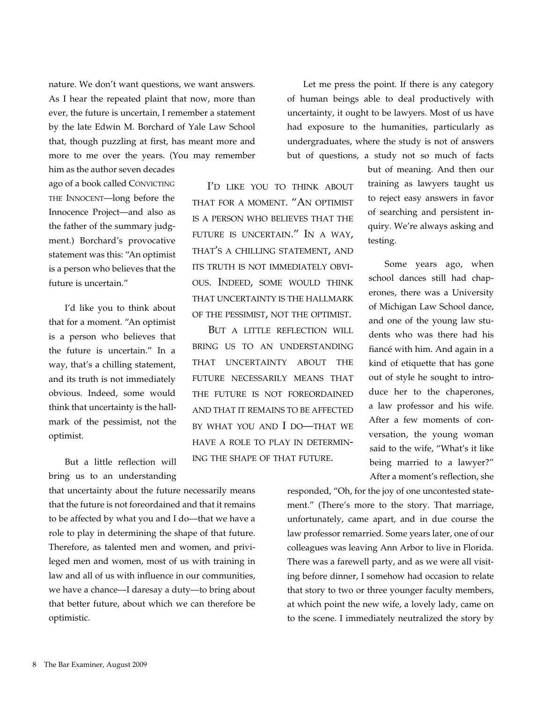nature. We don't want questions, we want answers. As I hear the repeated plaint that now, more than ever, the future is uncertain, I remember a statement by the late Edwin M. Borchard of Yale Law School that, though puzzling at first, has meant more and more to me over the years. (You may remember

him as the author seven decades ago of a book called Convicting the Innocent—long before the Innocence Project—and also as the father of the summary judgment.) Borchard's provocative statement was this: "An optimist is a person who believes that the future is uncertain."

I'd like you to think about that for a moment. "An optimist is a person who believes that the future is uncertain." In a way, that's a chilling statement, and its truth is not immediately obvious. Indeed, some would think that uncertainty is the hallmark of the pessimist, not the optimist.

But a little reflection will bring us to an understanding

that uncertainty about the future necessarily means that the future is not foreordained and that it remains to be affected by what you and I do—that we have a role to play in determining the shape of that future. Therefore, as talented men and women, and privileged men and women, most of us with training in law and all of us with influence in our communities, we have a chance—I daresay a duty—to bring about that better future, about which we can therefore be optimistic.

Let me press the point. If there is any category of human beings able to deal productively with uncertainty, it ought to be lawyers. Most of us have had exposure to the humanities, particularly as undergraduates, where the study is not of answers but of questions, a study not so much of facts

I'd like you to think about that for a moment. "An optimist is a person who believes that the future is uncertain." In a way, that's a chilling statement, and its truth is not immediately obvious. Indeed, some would think that uncertainty is the hallmark of the pessimist, not the optimist.

But a little reflection will bring us to an understanding that uncertainty about the future necessarily means that the future is not foreordained and that it remains to be affected by what you and I do—that we have a role to play in determining the shape of that future.

but of meaning. And then our training as lawyers taught us to reject easy answers in favor of searching and persistent inquiry. We're always asking and testing.

Some years ago, when school dances still had chaperones, there was a University of Michigan Law School dance, and one of the young law students who was there had his fiancé with him. And again in a kind of etiquette that has gone out of style he sought to introduce her to the chaperones, a law professor and his wife. After a few moments of conversation, the young woman said to the wife, "What's it like being married to a lawyer?" After a moment's reflection, she

responded, "Oh, for the joy of one uncontested statement." (There's more to the story. That marriage, unfortunately, came apart, and in due course the law professor remarried. Some years later, one of our colleagues was leaving Ann Arbor to live in Florida. There was a farewell party, and as we were all visiting before dinner, I somehow had occasion to relate that story to two or three younger faculty members, at which point the new wife, a lovely lady, came on to the scene. I immediately neutralized the story by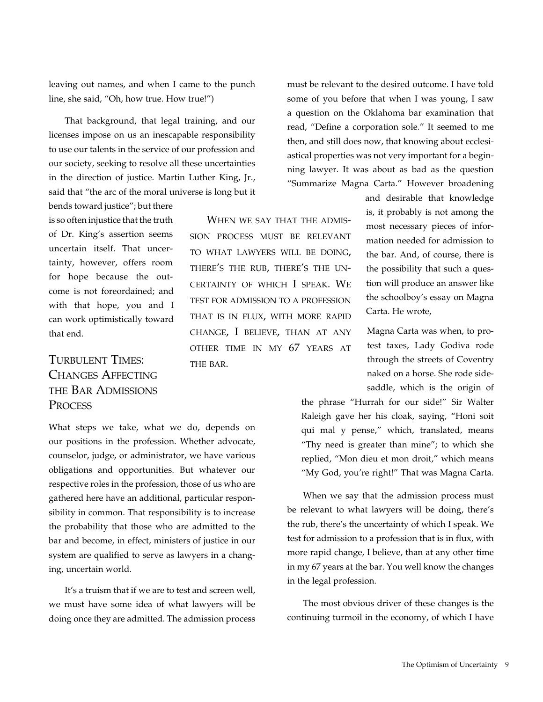leaving out names, and when I came to the punch line, she said, "Oh, how true. How true!")

That background, that legal training, and our licenses impose on us an inescapable responsibility to use our talents in the service of our profession and our society, seeking to resolve all these uncertainties in the direction of justice. Martin Luther King, Jr., said that "the arc of the moral universe is long but it

bends toward justice"; but there is so often injustice that the truth of Dr. King's assertion seems uncertain itself. That uncertainty, however, offers room for hope because the outcome is not foreordained; and with that hope, you and I can work optimistically toward that end.

# Turbulent Times: Changes Affecting the Bar Admissions **PROCESS**

What steps we take, what we do, depends on our positions in the profession. Whether advocate, counselor, judge, or administrator, we have various obligations and opportunities. But whatever our respective roles in the profession, those of us who are gathered here have an additional, particular responsibility in common. That responsibility is to increase the probability that those who are admitted to the bar and become, in effect, ministers of justice in our system are qualified to serve as lawyers in a changing, uncertain world.

It's a truism that if we are to test and screen well, we must have some idea of what lawyers will be doing once they are admitted. The admission process

must be relevant to the desired outcome. I have told some of you before that when I was young, I saw a question on the Oklahoma bar examination that read, "Define a corporation sole." It seemed to me then, and still does now, that knowing about ecclesiastical properties was not very important for a beginning lawyer. It was about as bad as the question "Summarize Magna Carta." However broadening

When we say that the admission process must be relevant to what lawyers will be doing, there's the rub, there's the uncertainty of which I speak. We test for admission to a profession that is in flux, with more rapid change, I believe, than at any other time in my 67 years at THE BAR.

and desirable that knowledge is, it probably is not among the most necessary pieces of information needed for admission to the bar. And, of course, there is the possibility that such a question will produce an answer like the schoolboy's essay on Magna Carta. He wrote,

Magna Carta was when, to protest taxes, Lady Godiva rode through the streets of Coventry naked on a horse. She rode sidesaddle, which is the origin of

the phrase "Hurrah for our side!" Sir Walter Raleigh gave her his cloak, saying, "Honi soit qui mal y pense," which, translated, means "Thy need is greater than mine"; to which she replied, "Mon dieu et mon droit," which means "My God, you're right!" That was Magna Carta.

When we say that the admission process must be relevant to what lawyers will be doing, there's the rub, there's the uncertainty of which I speak. We test for admission to a profession that is in flux, with more rapid change, I believe, than at any other time in my 67 years at the bar. You well know the changes in the legal profession.

The most obvious driver of these changes is the continuing turmoil in the economy, of which I have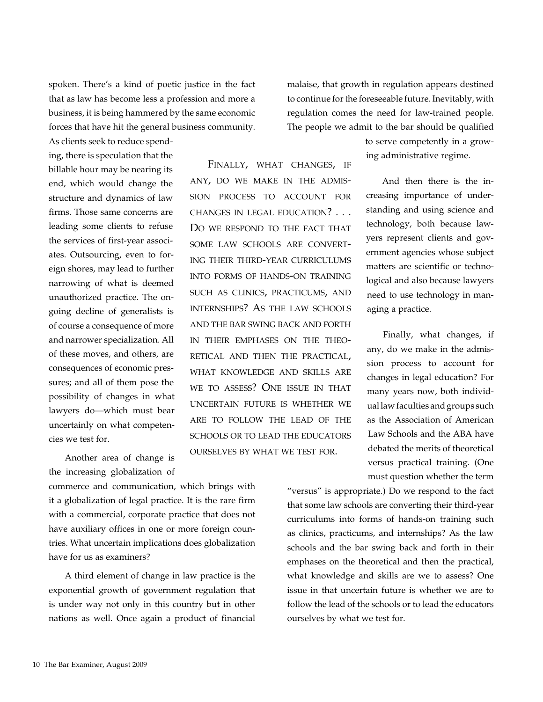spoken. There's a kind of poetic justice in the fact that as law has become less a profession and more a business, it is being hammered by the same economic forces that have hit the general business community. malaise, that growth in regulation appears destined to continue for the foreseeable future. Inevitably, with regulation comes the need for law-trained people. The people we admit to the bar should be qualified

As clients seek to reduce spending, there is speculation that the billable hour may be nearing its end, which would change the structure and dynamics of law firms. Those same concerns are leading some clients to refuse the services of first-year associates. Outsourcing, even to foreign shores, may lead to further narrowing of what is deemed unauthorized practice. The ongoing decline of generalists is of course a consequence of more and narrower specialization. All of these moves, and others, are consequences of economic pressures; and all of them pose the possibility of changes in what lawyers do—which must bear uncertainly on what competencies we test for.

Another area of change is the increasing globalization of

commerce and communication, which brings with it a globalization of legal practice. It is the rare firm with a commercial, corporate practice that does not have auxiliary offices in one or more foreign countries. What uncertain implications does globalization have for us as examiners?

A third element of change in law practice is the exponential growth of government regulation that is under way not only in this country but in other nations as well. Once again a product of financial

Finally, what changes, if any, do we make in the admission process to account for changes in legal education? . . . DO WE RESPOND TO THE FACT THAT some law schools are converting their third-year curriculums into forms of hands-on training such as clinics, practicums, and internships? As the law schools and the bar swing back and forth in their emphases on the theoretical and then the practical, what knowledge and skills are we to assess? One issue in that uncertain future is whether we are to follow the lead of the schools or to lead the educators ourselves by what we test for.

to serve competently in a growing administrative regime.

And then there is the increasing importance of understanding and using science and technology, both because lawyers represent clients and government agencies whose subject matters are scientific or technological and also because lawyers need to use technology in managing a practice.

Finally, what changes, if any, do we make in the admission process to account for changes in legal education? For many years now, both individual law faculties and groups such as the Association of American Law Schools and the ABA have debated the merits of theoretical versus practical training. (One must question whether the term

"versus" is appropriate.) Do we respond to the fact that some law schools are converting their third-year curriculums into forms of hands-on training such as clinics, practicums, and internships? As the law schools and the bar swing back and forth in their emphases on the theoretical and then the practical, what knowledge and skills are we to assess? One issue in that uncertain future is whether we are to follow the lead of the schools or to lead the educators ourselves by what we test for.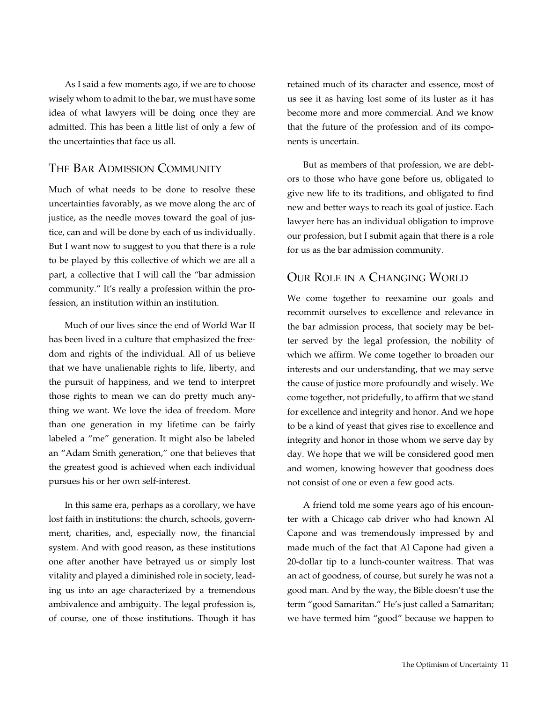As I said a few moments ago, if we are to choose wisely whom to admit to the bar, we must have some idea of what lawyers will be doing once they are admitted. This has been a little list of only a few of the uncertainties that face us all.

#### The Bar Admission Community

Much of what needs to be done to resolve these uncertainties favorably, as we move along the arc of justice, as the needle moves toward the goal of justice, can and will be done by each of us individually. But I want now to suggest to you that there is a role to be played by this collective of which we are all a part, a collective that I will call the "bar admission community." It's really a profession within the profession, an institution within an institution.

Much of our lives since the end of World War II has been lived in a culture that emphasized the freedom and rights of the individual. All of us believe that we have unalienable rights to life, liberty, and the pursuit of happiness, and we tend to interpret those rights to mean we can do pretty much anything we want. We love the idea of freedom. More than one generation in my lifetime can be fairly labeled a "me" generation. It might also be labeled an "Adam Smith generation," one that believes that the greatest good is achieved when each individual pursues his or her own self-interest.

In this same era, perhaps as a corollary, we have lost faith in institutions: the church, schools, government, charities, and, especially now, the financial system. And with good reason, as these institutions one after another have betrayed us or simply lost vitality and played a diminished role in society, leading us into an age characterized by a tremendous ambivalence and ambiguity. The legal profession is, of course, one of those institutions. Though it has

retained much of its character and essence, most of us see it as having lost some of its luster as it has become more and more commercial. And we know that the future of the profession and of its components is uncertain.

But as members of that profession, we are debtors to those who have gone before us, obligated to give new life to its traditions, and obligated to find new and better ways to reach its goal of justice. Each lawyer here has an individual obligation to improve our profession, but I submit again that there is a role for us as the bar admission community.

### Our Role in a Changing World

We come together to reexamine our goals and recommit ourselves to excellence and relevance in the bar admission process, that society may be better served by the legal profession, the nobility of which we affirm. We come together to broaden our interests and our understanding, that we may serve the cause of justice more profoundly and wisely. We come together, not pridefully, to affirm that we stand for excellence and integrity and honor. And we hope to be a kind of yeast that gives rise to excellence and integrity and honor in those whom we serve day by day. We hope that we will be considered good men and women, knowing however that goodness does not consist of one or even a few good acts.

A friend told me some years ago of his encounter with a Chicago cab driver who had known Al Capone and was tremendously impressed by and made much of the fact that Al Capone had given a 20-dollar tip to a lunch-counter waitress. That was an act of goodness, of course, but surely he was not a good man. And by the way, the Bible doesn't use the term "good Samaritan." He's just called a Samaritan; we have termed him "good" because we happen to